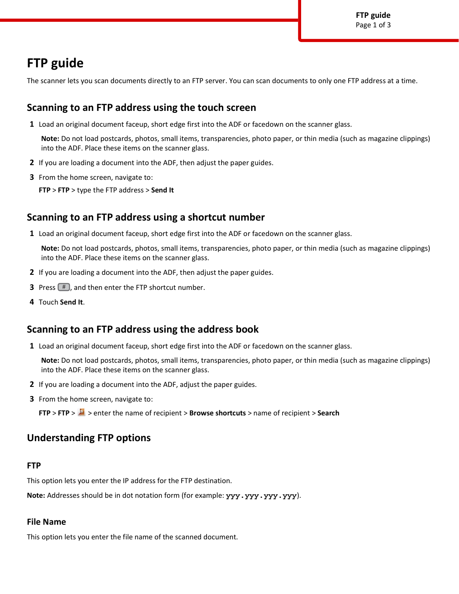# **FTP guide**

The scanner lets you scan documents directly to an FTP server. You can scan documents to only one FTP address at a time.

# **Scanning to an FTP address using the touch screen**

**1** Load an original document faceup, short edge first into the ADF or facedown on the scanner glass.

**Note:** Do not load postcards, photos, small items, transparencies, photo paper, or thin media (such as magazine clippings) into the ADF. Place these items on the scanner glass.

- **2** If you are loading a document into the ADF, then adjust the paper guides.
- **3** From the home screen, navigate to:

**FTP** > **FTP** > type the FTP address > **Send It**

# **Scanning to an FTP address using a shortcut number**

**1** Load an original document faceup, short edge first into the ADF or facedown on the scanner glass.

**Note:** Do not load postcards, photos, small items, transparencies, photo paper, or thin media (such as magazine clippings) into the ADF. Place these items on the scanner glass.

- **2** If you are loading a document into the ADF, then adjust the paper guides.
- **3** Press  $#$ , and then enter the FTP shortcut number.
- **4** Touch **Send It**.

# **Scanning to an FTP address using the address book**

**1** Load an original document faceup, short edge first into the ADF or facedown on the scanner glass.

**Note:** Do not load postcards, photos, small items, transparencies, photo paper, or thin media (such as magazine clippings) into the ADF. Place these items on the scanner glass.

- **2** If you are loading a document into the ADF, adjust the paper guides.
- **3** From the home screen, navigate to:

**FTP** > **FTP** > > enter the name of recipient > **Browse shortcuts** > name of recipient > **Search**

# **Understanding FTP options**

# **FTP**

This option lets you enter the IP address for the FTP destination.

Note: Addresses should be in dot notation form (for example: yyy.yyy.yyy.yyy).

# **File Name**

This option lets you enter the file name of the scanned document.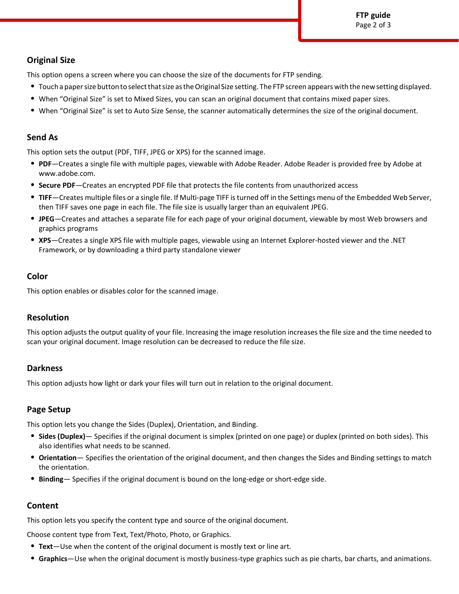# **Original Size**

This option opens a screen where you can choose the size of the documents for FTP sending.

- **•** Touch a paper size button to select that size as the Original Size setting. The FTP screen appears with the new setting displayed.
- **•** When "Original Size" is set to Mixed Sizes, you can scan an original document that contains mixed paper sizes.
- **•** When "Original Size" is set to Auto Size Sense, the scanner automatically determines the size of the original document.

#### **Send As**

This option sets the output (PDF, TIFF, JPEG or XPS) for the scanned image.

- **• PDF**—Creates a single file with multiple pages, viewable with Adobe Reader. Adobe Reader is provided free by Adobe at www.adobe.com.
- **• Secure PDF**—Creates an encrypted PDF file that protects the file contents from unauthorized access
- **• TIFF**—Creates multiple files or a single file. If Multi-page TIFF is turned off in the Settings menu of the Embedded Web Server, then TIFF saves one page in each file. The file size is usually larger than an equivalent JPEG.
- **• JPEG**—Creates and attaches a separate file for each page of your original document, viewable by most Web browsers and graphics programs
- **• XPS**—Creates a single XPS file with multiple pages, viewable using an Internet Explorer-hosted viewer and the .NET Framework, or by downloading a third party standalone viewer

#### **Color**

This option enables or disables color for the scanned image.

# **Resolution**

This option adjusts the output quality of your file. Increasing the image resolution increases the file size and the time needed to scan your original document. Image resolution can be decreased to reduce the file size.

# **Darkness**

This option adjusts how light or dark your files will turn out in relation to the original document.

# **Page Setup**

This option lets you change the Sides (Duplex), Orientation, and Binding.

- **• Sides (Duplex)** Specifies if the original document is simplex (printed on one page) or duplex (printed on both sides). This also identifies what needs to be scanned.
- **• Orientation** Specifies the orientation of the original document, and then changes the Sides and Binding settings to match the orientation.
- **• Binding** Specifies if the original document is bound on the long-edge or short-edge side.

# **Content**

This option lets you specify the content type and source of the original document.

Choose content type from Text, Text/Photo, Photo, or Graphics.

- **• Text**—Use when the content of the original document is mostly text or line art.
- **• Graphics**—Use when the original document is mostly business-type graphics such as pie charts, bar charts, and animations.